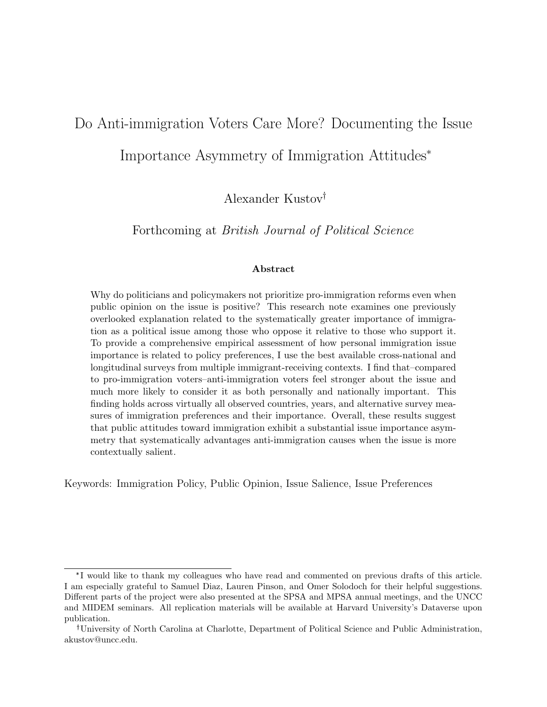# Do Anti-immigration Voters Care More? Documenting the Issue

Importance Asymmetry of Immigration Attitudes\*

Alexander Kustov

Forthcoming at British Journal of Political Science

#### Abstract

Why do politicians and policymakers not prioritize pro-immigration reforms even when public opinion on the issue is positive? This research note examines one previously overlooked explanation related to the systematically greater importance of immigration as a political issue among those who oppose it relative to those who support it. To provide a comprehensive empirical assessment of how personal immigration issue importance is related to policy preferences, I use the best available cross-national and longitudinal surveys from multiple immigrant-receiving contexts. I find that–compared to pro-immigration voters–anti-immigration voters feel stronger about the issue and much more likely to consider it as both personally and nationally important. This finding holds across virtually all observed countries, years, and alternative survey measures of immigration preferences and their importance. Overall, these results suggest that public attitudes toward immigration exhibit a substantial issue importance asymmetry that systematically advantages anti-immigration causes when the issue is more contextually salient.

Keywords: Immigration Policy, Public Opinion, Issue Salience, Issue Preferences

<sup>\*</sup> I would like to thank my colleagues who have read and commented on previous drafts of this article. I am especially grateful to Samuel Diaz, Lauren Pinson, and Omer Solodoch for their helpful suggestions. Different parts of the project were also presented at the SPSA and MPSA annual meetings, and the UNCC and MIDEM seminars. All replication materials will be available at Harvard University's Dataverse upon publication.

University of North Carolina at Charlotte, Department of Political Science and Public Administration, akustov@uncc.edu.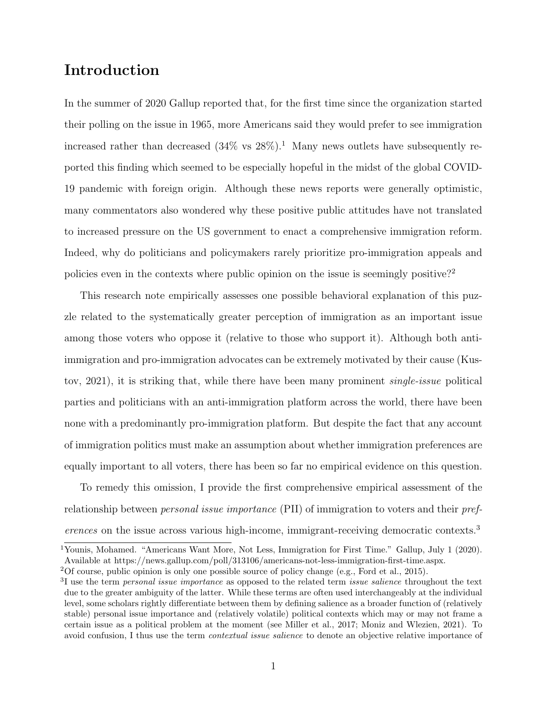### Introduction

In the summer of 2020 Gallup reported that, for the first time since the organization started their polling on the issue in 1965, more Americans said they would prefer to see immigration increased rather than decreased  $(34\% \text{ vs } 28\%)$ .<sup>[1](#page-1-0)</sup> Many news outlets have subsequently reported this finding which seemed to be especially hopeful in the midst of the global COVID-19 pandemic with foreign origin. Although these news reports were generally optimistic, many commentators also wondered why these positive public attitudes have not translated to increased pressure on the US government to enact a comprehensive immigration reform. Indeed, why do politicians and policymakers rarely prioritize pro-immigration appeals and policies even in the contexts where public opinion on the issue is seemingly positive?<sup>[2](#page-1-1)</sup>

This research note empirically assesses one possible behavioral explanation of this puzzle related to the systematically greater perception of immigration as an important issue among those voters who oppose it (relative to those who support it). Although both antiimmigration and pro-immigration advocates can be extremely motivated by their cause [\(Kus](#page-15-0)[tov, 2021\)](#page-15-0), it is striking that, while there have been many prominent single-issue political parties and politicians with an anti-immigration platform across the world, there have been none with a predominantly pro-immigration platform. But despite the fact that any account of immigration politics must make an assumption about whether immigration preferences are equally important to all voters, there has been so far no empirical evidence on this question.

To remedy this omission, I provide the first comprehensive empirical assessment of the relationship between personal issue importance (PII) of immigration to voters and their preferences on the issue across various high-income, immigrant-receiving democratic contexts.[3](#page-1-2)

<span id="page-1-0"></span><sup>1</sup>Younis, Mohamed. "Americans Want More, Not Less, Immigration for First Time." Gallup, July 1 (2020). Available at [https://news.gallup.com/poll/313106/americans-not-less-immigration-first-time.aspx.](https://news.gallup.com/poll/313106/americans-not-less-immigration-first-time.aspx)

<span id="page-1-1"></span><sup>2</sup>Of course, public opinion is only one possible source of policy change (e.g., [Ford et al., 2015\)](#page-14-0).

<span id="page-1-2"></span> $3I$  use the term *personal issue importance* as opposed to the related term *issue salience* throughout the text due to the greater ambiguity of the latter. While these terms are often used interchangeably at the individual level, some scholars rightly differentiate between them by defining salience as a broader function of (relatively stable) personal issue importance and (relatively volatile) political contexts which may or may not frame a certain issue as a political problem at the moment (see [Miller et al., 2017;](#page-15-1) [Moniz and Wlezien, 2021\)](#page-15-2). To avoid confusion, I thus use the term *contextual issue salience* to denote an objective relative importance of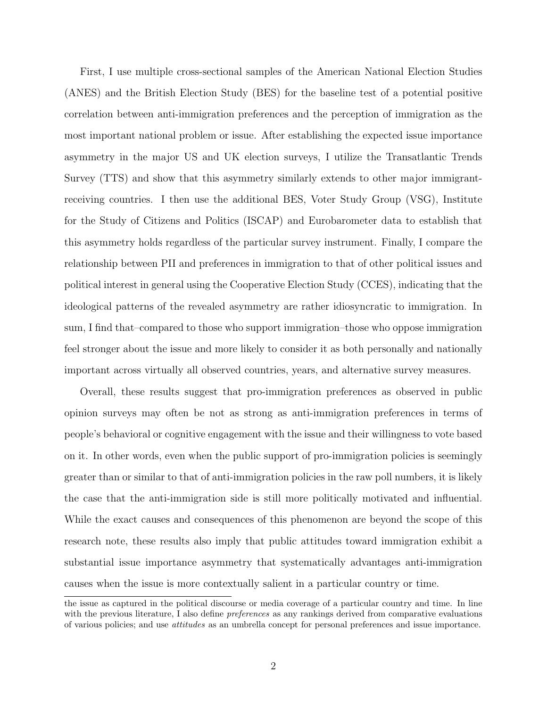First, I use multiple cross-sectional samples of the American National Election Studies (ANES) and the British Election Study (BES) for the baseline test of a potential positive correlation between anti-immigration preferences and the perception of immigration as the most important national problem or issue. After establishing the expected issue importance asymmetry in the major US and UK election surveys, I utilize the Transatlantic Trends Survey (TTS) and show that this asymmetry similarly extends to other major immigrantreceiving countries. I then use the additional BES, Voter Study Group (VSG), Institute for the Study of Citizens and Politics (ISCAP) and Eurobarometer data to establish that this asymmetry holds regardless of the particular survey instrument. Finally, I compare the relationship between PII and preferences in immigration to that of other political issues and political interest in general using the Cooperative Election Study (CCES), indicating that the ideological patterns of the revealed asymmetry are rather idiosyncratic to immigration. In sum, I find that–compared to those who support immigration–those who oppose immigration feel stronger about the issue and more likely to consider it as both personally and nationally important across virtually all observed countries, years, and alternative survey measures.

Overall, these results suggest that pro-immigration preferences as observed in public opinion surveys may often be not as strong as anti-immigration preferences in terms of people's behavioral or cognitive engagement with the issue and their willingness to vote based on it. In other words, even when the public support of pro-immigration policies is seemingly greater than or similar to that of anti-immigration policies in the raw poll numbers, it is likely the case that the anti-immigration side is still more politically motivated and influential. While the exact causes and consequences of this phenomenon are beyond the scope of this research note, these results also imply that public attitudes toward immigration exhibit a substantial issue importance asymmetry that systematically advantages anti-immigration causes when the issue is more contextually salient in a particular country or time.

the issue as captured in the political discourse or media coverage of a particular country and time. In line with the previous literature, I also define *preferences* as any rankings derived from comparative evaluations of various policies; and use attitudes as an umbrella concept for personal preferences and issue importance.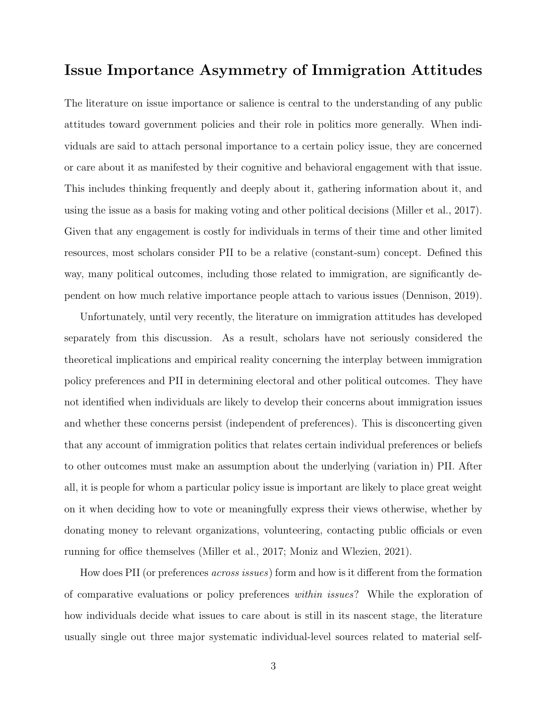### Issue Importance Asymmetry of Immigration Attitudes

The literature on issue importance or salience is central to the understanding of any public attitudes toward government policies and their role in politics more generally. When individuals are said to attach personal importance to a certain policy issue, they are concerned or care about it as manifested by their cognitive and behavioral engagement with that issue. This includes thinking frequently and deeply about it, gathering information about it, and using the issue as a basis for making voting and other political decisions [\(Miller et al., 2017\)](#page-15-1). Given that any engagement is costly for individuals in terms of their time and other limited resources, most scholars consider PII to be a relative (constant-sum) concept. Defined this way, many political outcomes, including those related to immigration, are significantly dependent on how much relative importance people attach to various issues [\(Dennison, 2019\)](#page-14-1).

Unfortunately, until very recently, the literature on immigration attitudes has developed separately from this discussion. As a result, scholars have not seriously considered the theoretical implications and empirical reality concerning the interplay between immigration policy preferences and PII in determining electoral and other political outcomes. They have not identified when individuals are likely to develop their concerns about immigration issues and whether these concerns persist (independent of preferences). This is disconcerting given that any account of immigration politics that relates certain individual preferences or beliefs to other outcomes must make an assumption about the underlying (variation in) PII. After all, it is people for whom a particular policy issue is important are likely to place great weight on it when deciding how to vote or meaningfully express their views otherwise, whether by donating money to relevant organizations, volunteering, contacting public officials or even running for office themselves [\(Miller et al., 2017;](#page-15-1) [Moniz and Wlezien, 2021\)](#page-15-2).

How does PII (or preferences across issues) form and how is it different from the formation of comparative evaluations or policy preferences within issues? While the exploration of how individuals decide what issues to care about is still in its nascent stage, the literature usually single out three major systematic individual-level sources related to material self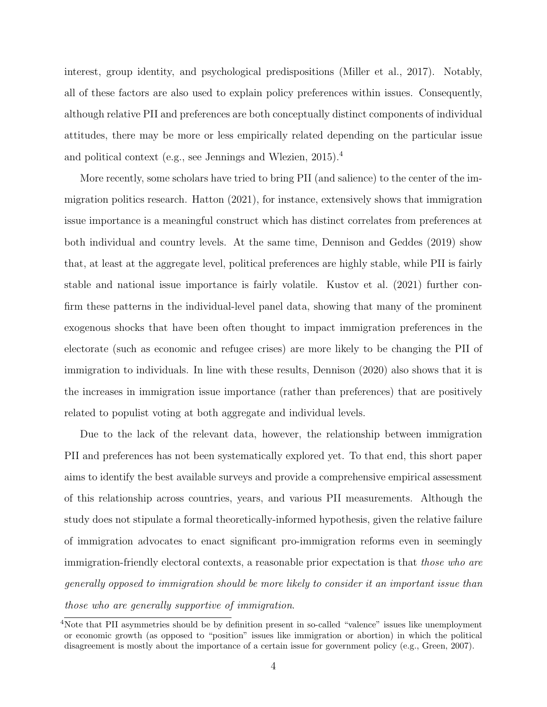interest, group identity, and psychological predispositions [\(Miller et al., 2017\)](#page-15-1). Notably, all of these factors are also used to explain policy preferences within issues. Consequently, although relative PII and preferences are both conceptually distinct components of individual attitudes, there may be more or less empirically related depending on the particular issue and political context (e.g., see [Jennings and Wlezien, 2015\)](#page-14-2).[4](#page-4-0)

More recently, some scholars have tried to bring PII (and salience) to the center of the immigration politics research. [Hatton](#page-14-3) [\(2021\)](#page-14-3), for instance, extensively shows that immigration issue importance is a meaningful construct which has distinct correlates from preferences at both individual and country levels. At the same time, [Dennison and Geddes](#page-14-4) [\(2019\)](#page-14-4) show that, at least at the aggregate level, political preferences are highly stable, while PII is fairly stable and national issue importance is fairly volatile. [Kustov et al.](#page-15-3) [\(2021\)](#page-15-3) further confirm these patterns in the individual-level panel data, showing that many of the prominent exogenous shocks that have been often thought to impact immigration preferences in the electorate (such as economic and refugee crises) are more likely to be changing the PII of immigration to individuals. In line with these results, [Dennison](#page-14-5) [\(2020\)](#page-14-5) also shows that it is the increases in immigration issue importance (rather than preferences) that are positively related to populist voting at both aggregate and individual levels.

Due to the lack of the relevant data, however, the relationship between immigration PII and preferences has not been systematically explored yet. To that end, this short paper aims to identify the best available surveys and provide a comprehensive empirical assessment of this relationship across countries, years, and various PII measurements. Although the study does not stipulate a formal theoretically-informed hypothesis, given the relative failure of immigration advocates to enact significant pro-immigration reforms even in seemingly immigration-friendly electoral contexts, a reasonable prior expectation is that *those who are* generally opposed to immigration should be more likely to consider it an important issue than those who are generally supportive of immigration.

<span id="page-4-0"></span><sup>4</sup>Note that PII asymmetries should be by definition present in so-called "valence" issues like unemployment or economic growth (as opposed to "position" issues like immigration or abortion) in which the political disagreement is mostly about the importance of a certain issue for government policy (e.g., [Green, 2007\)](#page-14-6).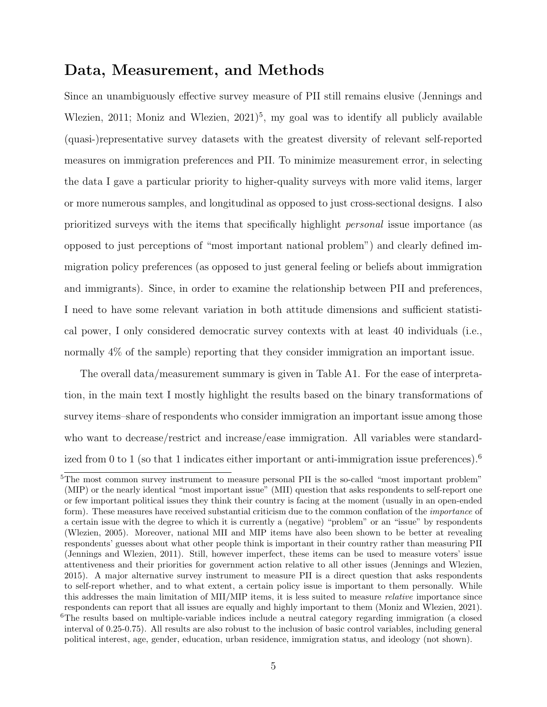### Data, Measurement, and Methods

Since an unambiguously effective survey measure of PII still remains elusive [\(Jennings and](#page-14-7) [Wlezien, 2011;](#page-14-7) Moniz and Wlezien,  $2021$ <sup>[5](#page-5-0)</sup>, my goal was to identify all publicly available (quasi-)representative survey datasets with the greatest diversity of relevant self-reported measures on immigration preferences and PII. To minimize measurement error, in selecting the data I gave a particular priority to higher-quality surveys with more valid items, larger or more numerous samples, and longitudinal as opposed to just cross-sectional designs. I also prioritized surveys with the items that specifically highlight personal issue importance (as opposed to just perceptions of "most important national problem") and clearly defined immigration policy preferences (as opposed to just general feeling or beliefs about immigration and immigrants). Since, in order to examine the relationship between PII and preferences, I need to have some relevant variation in both attitude dimensions and sufficient statistical power, I only considered democratic survey contexts with at least 40 individuals (i.e., normally 4% of the sample) reporting that they consider immigration an important issue.

The overall data/measurement summary is given in Table [A1.](#page-20-0) For the ease of interpretation, in the main text I mostly highlight the results based on the binary transformations of survey items–share of respondents who consider immigration an important issue among those who want to decrease/restrict and increase/ease immigration. All variables were standard-ized from 0 to 1 (so that 1 indicates either important or anti-immigration issue preferences).<sup>[6](#page-5-1)</sup>

<span id="page-5-1"></span><span id="page-5-0"></span><sup>&</sup>lt;sup>5</sup>The most common survey instrument to measure personal PII is the so-called "most important problem" (MIP) or the nearly identical "most important issue" (MII) question that asks respondents to self-report one or few important political issues they think their country is facing at the moment (usually in an open-ended form). These measures have received substantial criticism due to the common conflation of the *importance* of a certain issue with the degree to which it is currently a (negative) "problem" or an "issue" by respondents [\(Wlezien, 2005\)](#page-15-4). Moreover, national MII and MIP items have also been shown to be better at revealing respondents' guesses about what other people think is important in their country rather than measuring PII [\(Jennings and Wlezien, 2011\)](#page-14-7). Still, however imperfect, these items can be used to measure voters' issue attentiveness and their priorities for government action relative to all other issues [\(Jennings and Wlezien,](#page-14-2) [2015\)](#page-14-2). A major alternative survey instrument to measure PII is a direct question that asks respondents to self-report whether, and to what extent, a certain policy issue is important to them personally. While this addresses the main limitation of MII/MIP items, it is less suited to measure relative importance since respondents can report that all issues are equally and highly important to them [\(Moniz and Wlezien, 2021\)](#page-15-2). <sup>6</sup>The results based on multiple-variable indices include a neutral category regarding immigration (a closed interval of 0.25-0.75). All results are also robust to the inclusion of basic control variables, including general political interest, age, gender, education, urban residence, immigration status, and ideology (not shown).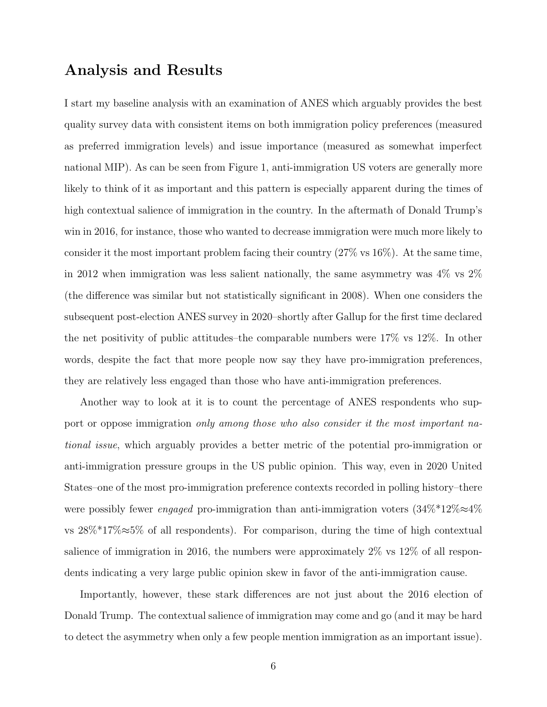### Analysis and Results

I start my baseline analysis with an examination of ANES which arguably provides the best quality survey data with consistent items on both immigration policy preferences (measured as preferred immigration levels) and issue importance (measured as somewhat imperfect national MIP). As can be seen from Figure [1,](#page-8-0) anti-immigration US voters are generally more likely to think of it as important and this pattern is especially apparent during the times of high contextual salience of immigration in the country. In the aftermath of Donald Trump's win in 2016, for instance, those who wanted to decrease immigration were much more likely to consider it the most important problem facing their country (27% vs 16%). At the same time, in 2012 when immigration was less salient nationally, the same asymmetry was  $4\%$  vs  $2\%$ (the difference was similar but not statistically significant in 2008). When one considers the subsequent post-election ANES survey in 2020–shortly after Gallup for the first time declared the net positivity of public attitudes–the comparable numbers were 17% vs 12%. In other words, despite the fact that more people now say they have pro-immigration preferences, they are relatively less engaged than those who have anti-immigration preferences.

Another way to look at it is to count the percentage of ANES respondents who support or oppose immigration only among those who also consider it the most important national issue, which arguably provides a better metric of the potential pro-immigration or anti-immigration pressure groups in the US public opinion. This way, even in 2020 United States–one of the most pro-immigration preference contexts recorded in polling history–there were possibly fewer engaged pro-immigration than anti-immigration voters  $(34\% * 12\% \approx 4\%)$ vs 28%\*17%≈5% of all respondents). For comparison, during the time of high contextual salience of immigration in 2016, the numbers were approximately 2% vs 12% of all respondents indicating a very large public opinion skew in favor of the anti-immigration cause.

Importantly, however, these stark differences are not just about the 2016 election of Donald Trump. The contextual salience of immigration may come and go (and it may be hard to detect the asymmetry when only a few people mention immigration as an important issue).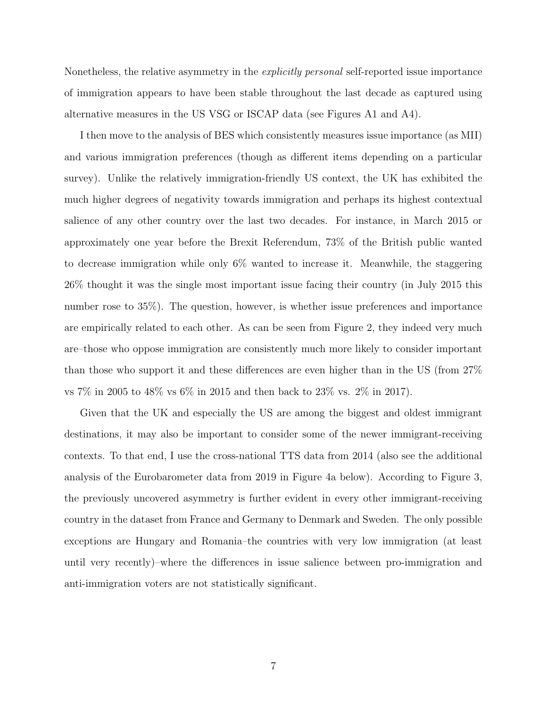Nonetheless, the relative asymmetry in the *explicitly personal* self-reported issue importance of immigration appears to have been stable throughout the last decade as captured using alternative measures in the US VSG or ISCAP data (see Figures [A1](#page-17-0) and [A4\)](#page-19-0).

I then move to the analysis of BES which consistently measures issue importance (as MII) and various immigration preferences (though as different items depending on a particular survey). Unlike the relatively immigration-friendly US context, the UK has exhibited the much higher degrees of negativity towards immigration and perhaps its highest contextual salience of any other country over the last two decades. For instance, in March 2015 or approximately one year before the Brexit Referendum, 73% of the British public wanted to decrease immigration while only 6% wanted to increase it. Meanwhile, the staggering 26% thought it was the single most important issue facing their country (in July 2015 this number rose to 35%). The question, however, is whether issue preferences and importance are empirically related to each other. As can be seen from Figure [2,](#page-8-1) they indeed very much are–those who oppose immigration are consistently much more likely to consider important than those who support it and these differences are even higher than in the US (from 27% vs 7% in 2005 to 48% vs 6% in 2015 and then back to 23% vs. 2% in 2017).

Given that the UK and especially the US are among the biggest and oldest immigrant destinations, it may also be important to consider some of the newer immigrant-receiving contexts. To that end, I use the cross-national TTS data from 2014 (also see the additional analysis of the Eurobarometer data from 2019 in Figure [4a](#page-11-0) below). According to Figure [3,](#page-8-2) the previously uncovered asymmetry is further evident in every other immigrant-receiving country in the dataset from France and Germany to Denmark and Sweden. The only possible exceptions are Hungary and Romania–the countries with very low immigration (at least until very recently)–where the differences in issue salience between pro-immigration and anti-immigration voters are not statistically significant.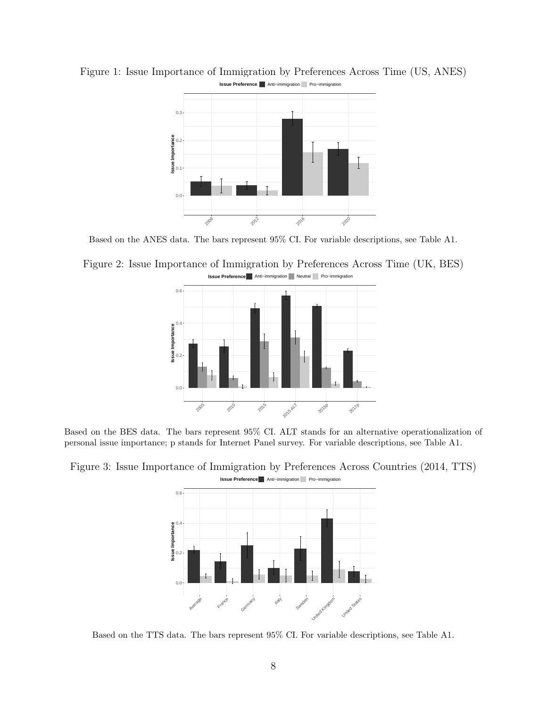

<span id="page-8-0"></span>Figure 1: Issue Importance of Immigration by Preferences Across Time (US, ANES) **Issue Preference** Anti−immigration Pro−immigration

Based on the ANES data. The bars represent 95% CI. For variable descriptions, see Table [A1.](#page-20-0)

<span id="page-8-1"></span>Figure 2: Issue Importance of Immigration by Preferences Across Time (UK, BES) **Issue Preference** Anti−immigration Neutral Pro−immigration



Based on the BES data. The bars represent 95% CI. ALT stands for an alternative operationalization of personal issue importance; p stands for Internet Panel survey. For variable descriptions, see Table [A1.](#page-20-0)



<span id="page-8-2"></span>Figure 3: Issue Importance of Immigration by Preferences Across Countries (2014, TTS) **Issue Preference** Anti−immigration Pro−immigration

Based on the TTS data. The bars represent 95% CI. For variable descriptions, see Table [A1.](#page-20-0)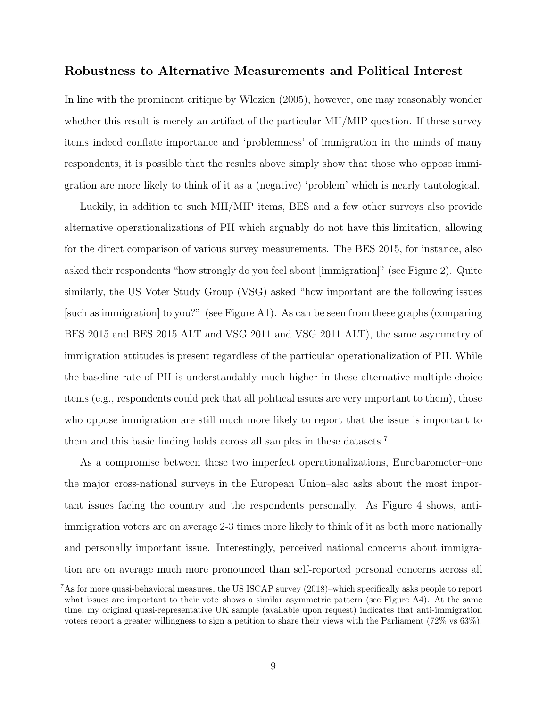#### Robustness to Alternative Measurements and Political Interest

In line with the prominent critique by [Wlezien](#page-15-4) [\(2005\)](#page-15-4), however, one may reasonably wonder whether this result is merely an artifact of the particular MII/MIP question. If these survey items indeed conflate importance and 'problemness' of immigration in the minds of many respondents, it is possible that the results above simply show that those who oppose immigration are more likely to think of it as a (negative) 'problem' which is nearly tautological.

Luckily, in addition to such MII/MIP items, BES and a few other surveys also provide alternative operationalizations of PII which arguably do not have this limitation, allowing for the direct comparison of various survey measurements. The BES 2015, for instance, also asked their respondents "how strongly do you feel about [immigration]" (see Figure [2\)](#page-8-1). Quite similarly, the US Voter Study Group (VSG) asked "how important are the following issues [such as immigration] to you?" (see Figure [A1\)](#page-17-0). As can be seen from these graphs (comparing BES 2015 and BES 2015 ALT and VSG 2011 and VSG 2011 ALT), the same asymmetry of immigration attitudes is present regardless of the particular operationalization of PII. While the baseline rate of PII is understandably much higher in these alternative multiple-choice items (e.g., respondents could pick that all political issues are very important to them), those who oppose immigration are still much more likely to report that the issue is important to them and this basic finding holds across all samples in these datasets.[7](#page-9-0)

As a compromise between these two imperfect operationalizations, Eurobarometer–one the major cross-national surveys in the European Union–also asks about the most important issues facing the country and the respondents personally. As Figure [4](#page-11-0) shows, antiimmigration voters are on average 2-3 times more likely to think of it as both more nationally and personally important issue. Interestingly, perceived national concerns about immigration are on average much more pronounced than self-reported personal concerns across all

<span id="page-9-0"></span> $7$ As for more quasi-behavioral measures, the US ISCAP survey (2018)–which specifically asks people to report what issues are important to their vote–shows a similar asymmetric pattern (see Figure [A4\)](#page-19-0). At the same time, my original quasi-representative UK sample (available upon request) indicates that anti-immigration voters report a greater willingness to sign a petition to share their views with the Parliament (72% vs 63%).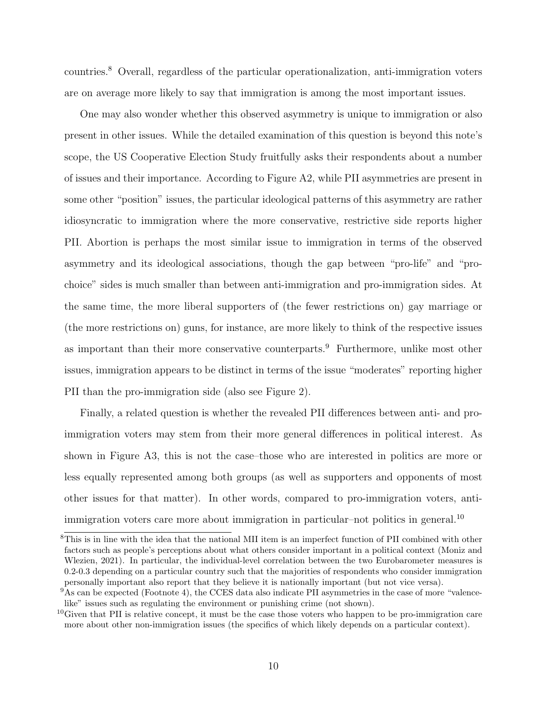countries.[8](#page-10-0) Overall, regardless of the particular operationalization, anti-immigration voters are on average more likely to say that immigration is among the most important issues.

One may also wonder whether this observed asymmetry is unique to immigration or also present in other issues. While the detailed examination of this question is beyond this note's scope, the US Cooperative Election Study fruitfully asks their respondents about a number of issues and their importance. According to Figure [A2,](#page-18-0) while PII asymmetries are present in some other "position" issues, the particular ideological patterns of this asymmetry are rather idiosyncratic to immigration where the more conservative, restrictive side reports higher PII. Abortion is perhaps the most similar issue to immigration in terms of the observed asymmetry and its ideological associations, though the gap between "pro-life" and "prochoice" sides is much smaller than between anti-immigration and pro-immigration sides. At the same time, the more liberal supporters of (the fewer restrictions on) gay marriage or (the more restrictions on) guns, for instance, are more likely to think of the respective issues as important than their more conservative counterparts.<sup>[9](#page-10-1)</sup> Furthermore, unlike most other issues, immigration appears to be distinct in terms of the issue "moderates" reporting higher PII than the pro-immigration side (also see Figure [2\)](#page-8-1).

Finally, a related question is whether the revealed PII differences between anti- and proimmigration voters may stem from their more general differences in political interest. As shown in Figure [A3,](#page-18-1) this is not the case–those who are interested in politics are more or less equally represented among both groups (as well as supporters and opponents of most other issues for that matter). In other words, compared to pro-immigration voters, anti-immigration voters care more about immigration in particular–not politics in general.<sup>[10](#page-10-2)</sup>

<span id="page-10-0"></span><sup>8</sup>This is in line with the idea that the national MII item is an imperfect function of PII combined with other factors such as people's perceptions about what others consider important in a political context [\(Moniz and](#page-15-2) [Wlezien, 2021\)](#page-15-2). In particular, the individual-level correlation between the two Eurobarometer measures is 0.2-0.3 depending on a particular country such that the majorities of respondents who consider immigration personally important also report that they believe it is nationally important (but not vice versa).

<span id="page-10-1"></span><sup>&</sup>lt;sup>9</sup>As can be expected (Footnote 4), the CCES data also indicate PII asymmetries in the case of more "valencelike" issues such as regulating the environment or punishing crime (not shown).

<span id="page-10-2"></span> $10$ Given that PII is relative concept, it must be the case those voters who happen to be pro-immigration care more about other non-immigration issues (the specifics of which likely depends on a particular context).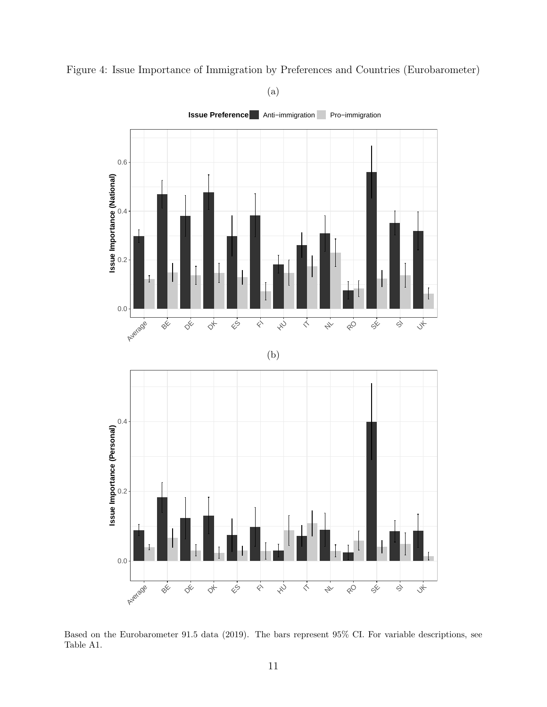

<span id="page-11-0"></span>Figure 4: Issue Importance of Immigration by Preferences and Countries (Eurobarometer)

(a)

Based on the Eurobarometer 91.5 data (2019). The bars represent 95% CI. For variable descriptions, see Table [A1.](#page-20-0)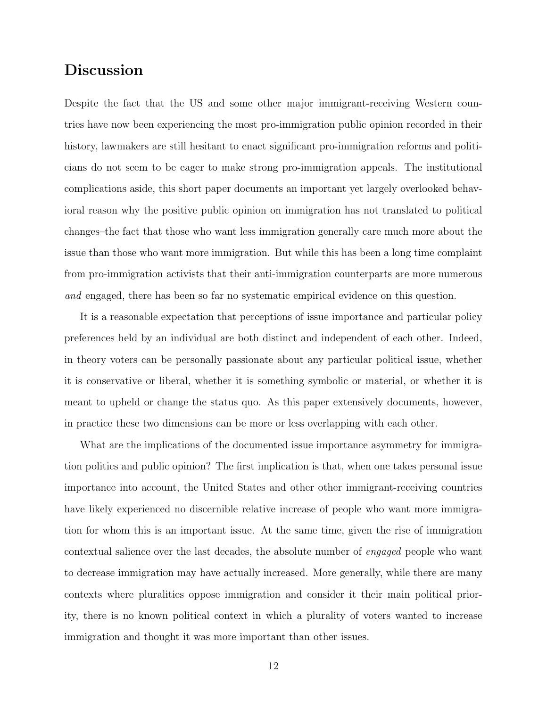### Discussion

Despite the fact that the US and some other major immigrant-receiving Western countries have now been experiencing the most pro-immigration public opinion recorded in their history, lawmakers are still hesitant to enact significant pro-immigration reforms and politicians do not seem to be eager to make strong pro-immigration appeals. The institutional complications aside, this short paper documents an important yet largely overlooked behavioral reason why the positive public opinion on immigration has not translated to political changes–the fact that those who want less immigration generally care much more about the issue than those who want more immigration. But while this has been a long time complaint from pro-immigration activists that their anti-immigration counterparts are more numerous and engaged, there has been so far no systematic empirical evidence on this question.

It is a reasonable expectation that perceptions of issue importance and particular policy preferences held by an individual are both distinct and independent of each other. Indeed, in theory voters can be personally passionate about any particular political issue, whether it is conservative or liberal, whether it is something symbolic or material, or whether it is meant to upheld or change the status quo. As this paper extensively documents, however, in practice these two dimensions can be more or less overlapping with each other.

What are the implications of the documented issue importance asymmetry for immigration politics and public opinion? The first implication is that, when one takes personal issue importance into account, the United States and other other immigrant-receiving countries have likely experienced no discernible relative increase of people who want more immigration for whom this is an important issue. At the same time, given the rise of immigration contextual salience over the last decades, the absolute number of engaged people who want to decrease immigration may have actually increased. More generally, while there are many contexts where pluralities oppose immigration and consider it their main political priority, there is no known political context in which a plurality of voters wanted to increase immigration and thought it was more important than other issues.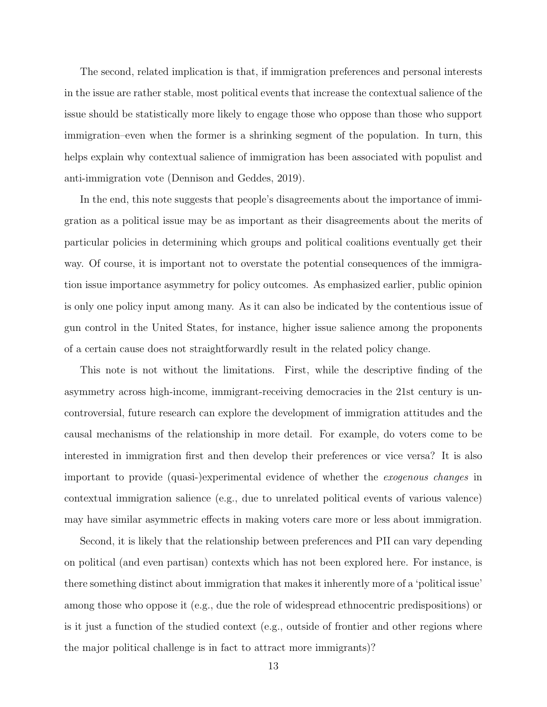The second, related implication is that, if immigration preferences and personal interests in the issue are rather stable, most political events that increase the contextual salience of the issue should be statistically more likely to engage those who oppose than those who support immigration–even when the former is a shrinking segment of the population. In turn, this helps explain why contextual salience of immigration has been associated with populist and anti-immigration vote [\(Dennison and Geddes, 2019\)](#page-14-4).

In the end, this note suggests that people's disagreements about the importance of immigration as a political issue may be as important as their disagreements about the merits of particular policies in determining which groups and political coalitions eventually get their way. Of course, it is important not to overstate the potential consequences of the immigration issue importance asymmetry for policy outcomes. As emphasized earlier, public opinion is only one policy input among many. As it can also be indicated by the contentious issue of gun control in the United States, for instance, higher issue salience among the proponents of a certain cause does not straightforwardly result in the related policy change.

This note is not without the limitations. First, while the descriptive finding of the asymmetry across high-income, immigrant-receiving democracies in the 21st century is uncontroversial, future research can explore the development of immigration attitudes and the causal mechanisms of the relationship in more detail. For example, do voters come to be interested in immigration first and then develop their preferences or vice versa? It is also important to provide (quasi-)experimental evidence of whether the exogenous changes in contextual immigration salience (e.g., due to unrelated political events of various valence) may have similar asymmetric effects in making voters care more or less about immigration.

Second, it is likely that the relationship between preferences and PII can vary depending on political (and even partisan) contexts which has not been explored here. For instance, is there something distinct about immigration that makes it inherently more of a 'political issue' among those who oppose it (e.g., due the role of widespread ethnocentric predispositions) or is it just a function of the studied context (e.g., outside of frontier and other regions where the major political challenge is in fact to attract more immigrants)?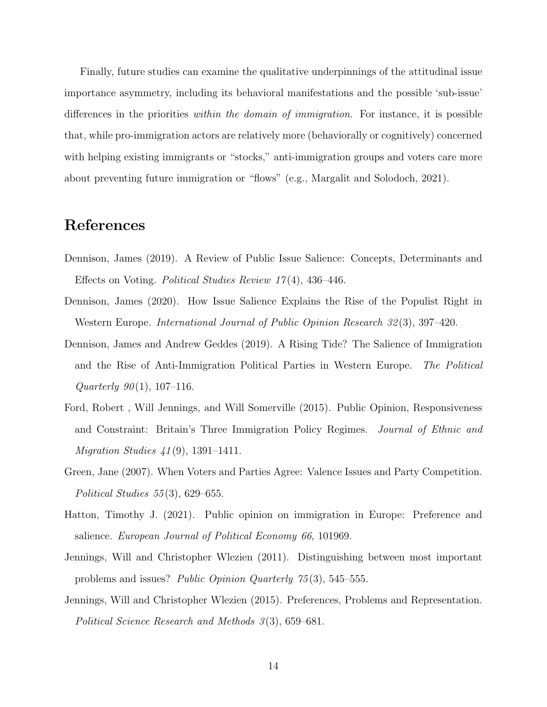Finally, future studies can examine the qualitative underpinnings of the attitudinal issue importance asymmetry, including its behavioral manifestations and the possible 'sub-issue' differences in the priorities within the domain of immigration. For instance, it is possible that, while pro-immigration actors are relatively more (behaviorally or cognitively) concerned with helping existing immigrants or "stocks," anti-immigration groups and voters care more about preventing future immigration or "flows" (e.g., [Margalit and Solodoch, 2021\)](#page-15-5).

## References

- <span id="page-14-1"></span>Dennison, James (2019). A Review of Public Issue Salience: Concepts, Determinants and Effects on Voting. Political Studies Review 17 (4), 436–446.
- <span id="page-14-5"></span>Dennison, James (2020). How Issue Salience Explains the Rise of the Populist Right in Western Europe. *International Journal of Public Opinion Research 32*(3), 397–420.
- <span id="page-14-4"></span>Dennison, James and Andrew Geddes (2019). A Rising Tide? The Salience of Immigration and the Rise of Anti-Immigration Political Parties in Western Europe. The Political Quarterly  $90(1)$ , 107-116.
- <span id="page-14-0"></span>Ford, Robert , Will Jennings, and Will Somerville (2015). Public Opinion, Responsiveness and Constraint: Britain's Three Immigration Policy Regimes. Journal of Ethnic and *Migration Studies*  $41(9)$ , 1391–1411.
- <span id="page-14-6"></span>Green, Jane (2007). When Voters and Parties Agree: Valence Issues and Party Competition. Political Studies  $55(3)$ , 629–655.
- <span id="page-14-3"></span>Hatton, Timothy J. (2021). Public opinion on immigration in Europe: Preference and salience. European Journal of Political Economy 66, 101969.
- <span id="page-14-7"></span>Jennings, Will and Christopher Wlezien (2011). Distinguishing between most important problems and issues? Public Opinion Quarterly 75 (3), 545–555.
- <span id="page-14-2"></span>Jennings, Will and Christopher Wlezien (2015). Preferences, Problems and Representation. Political Science Research and Methods 3(3), 659–681.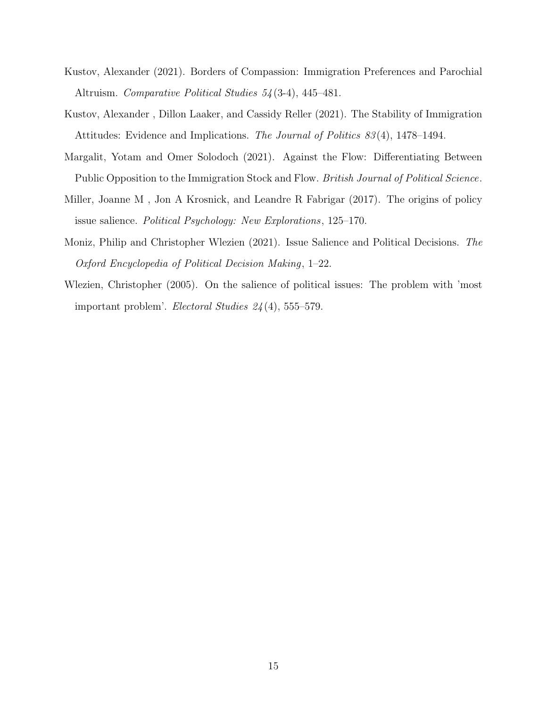- <span id="page-15-0"></span>Kustov, Alexander (2021). Borders of Compassion: Immigration Preferences and Parochial Altruism. Comparative Political Studies 54 (3-4), 445–481.
- <span id="page-15-3"></span>Kustov, Alexander , Dillon Laaker, and Cassidy Reller (2021). The Stability of Immigration Attitudes: Evidence and Implications. The Journal of Politics 83 (4), 1478–1494.
- <span id="page-15-5"></span>Margalit, Yotam and Omer Solodoch (2021). Against the Flow: Differentiating Between Public Opposition to the Immigration Stock and Flow. British Journal of Political Science.
- <span id="page-15-1"></span>Miller, Joanne M , Jon A Krosnick, and Leandre R Fabrigar (2017). The origins of policy issue salience. Political Psychology: New Explorations, 125–170.
- <span id="page-15-2"></span>Moniz, Philip and Christopher Wlezien (2021). Issue Salience and Political Decisions. The Oxford Encyclopedia of Political Decision Making, 1–22.
- <span id="page-15-4"></span>Wlezien, Christopher (2005). On the salience of political issues: The problem with 'most important problem'. *Electoral Studies*  $24(4)$ , 555–579.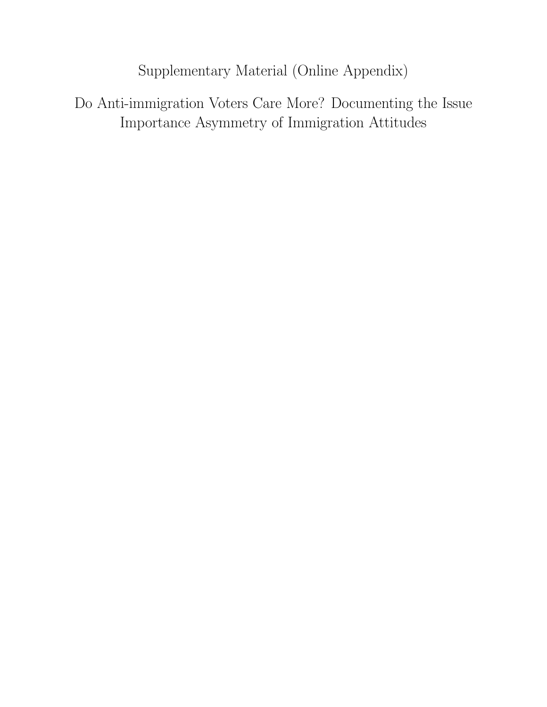Supplementary Material (Online Appendix)

Do Anti-immigration Voters Care More? Documenting the Issue Importance Asymmetry of Immigration Attitudes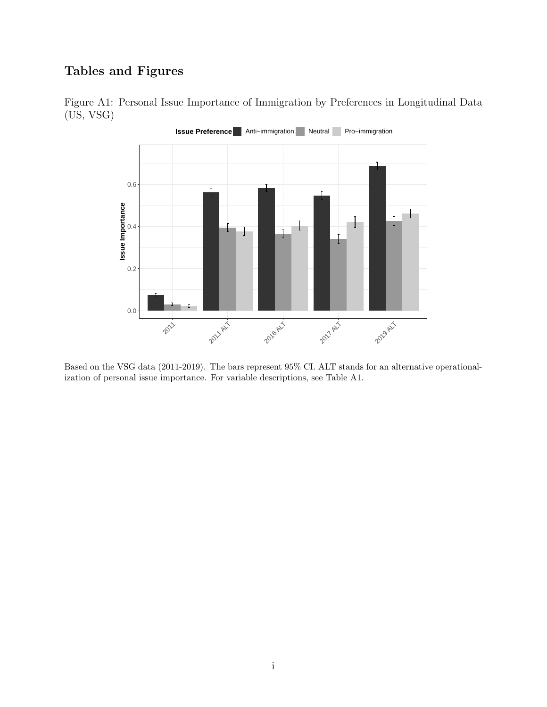### Tables and Figures



<span id="page-17-0"></span>Figure A1: Personal Issue Importance of Immigration by Preferences in Longitudinal Data (US, VSG)

Based on the VSG data (2011-2019). The bars represent 95% CI. ALT stands for an alternative operationalization of personal issue importance. For variable descriptions, see Table [A1.](#page-20-0)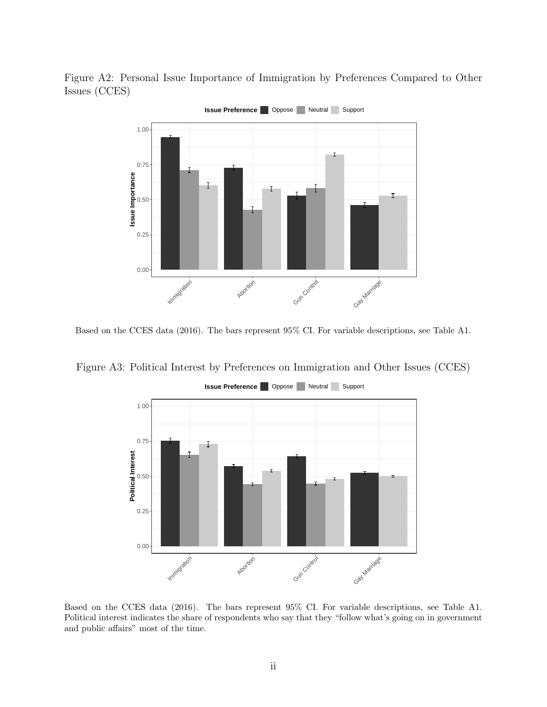<span id="page-18-0"></span>Figure A2: Personal Issue Importance of Immigration by Preferences Compared to Other Issues (CCES)



Based on the CCES data (2016). The bars represent 95% CI. For variable descriptions, see Table [A1.](#page-20-0)

<span id="page-18-1"></span>Figure A3: Political Interest by Preferences on Immigration and Other Issues (CCES)



**Issue Preference | Oppose | Neutral | Support** 

Based on the CCES data (2016). The bars represent 95% CI. For variable descriptions, see Table [A1.](#page-20-0) Political interest indicates the share of respondents who say that they "follow what's going on in government and public affairs" most of the time.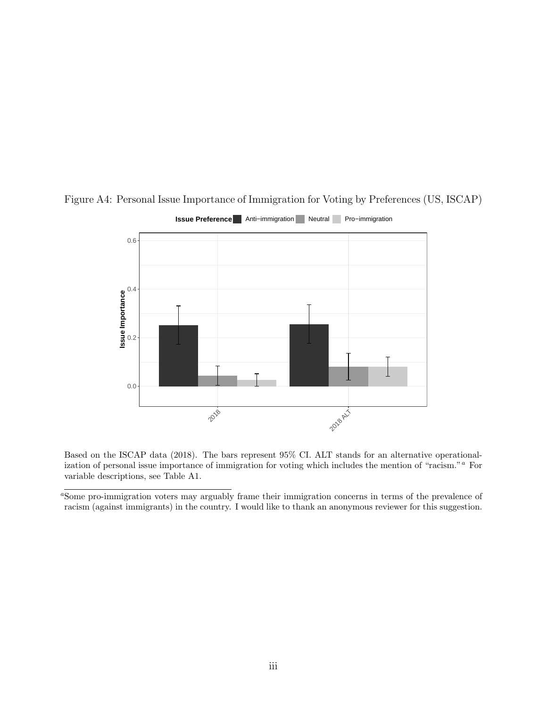

<span id="page-19-0"></span>Figure A4: Personal Issue Importance of Immigration for Voting by Preferences (US, ISCAP)

#### **Issue Preference** Anti–immigration Neutral Pro–immigration

Based on the ISCAP data (2018). The bars represent 95% CI. ALT stands for an alternative operationaliz[a](#page-19-1)tion of personal issue importance of immigration for voting which includes the mention of "racism." <sup>a</sup> For variable descriptions, see Table [A1.](#page-20-0)

<span id="page-19-1"></span><sup>&</sup>lt;sup>a</sup>Some pro-immigration voters may arguably frame their immigration concerns in terms of the prevalence of racism (against immigrants) in the country. I would like to thank an anonymous reviewer for this suggestion.